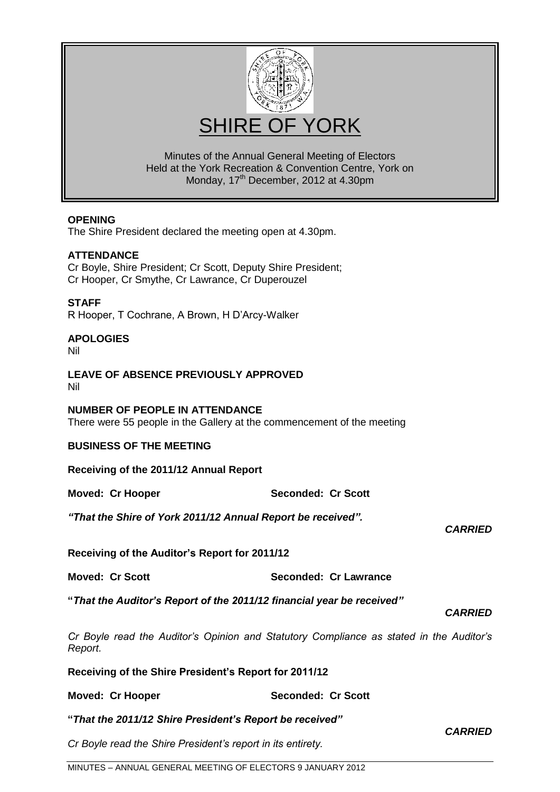

Minutes of the Annual General Meeting of Electors Held at the York Recreation & Convention Centre, York on Monday, 17<sup>th</sup> December, 2012 at 4.30pm

### **OPENING**

The Shire President declared the meeting open at 4.30pm.

### **ATTENDANCE**

Cr Boyle, Shire President; Cr Scott, Deputy Shire President; Cr Hooper, Cr Smythe, Cr Lawrance, Cr Duperouzel

# **STAFF**

R Hooper, T Cochrane, A Brown, H D'Arcy-Walker

# **APOLOGIES**

Nil

#### **LEAVE OF ABSENCE PREVIOUSLY APPROVED** Nil

### **NUMBER OF PEOPLE IN ATTENDANCE**

There were 55 people in the Gallery at the commencement of the meeting

### **BUSINESS OF THE MEETING**

**Receiving of the 2011/12 Annual Report**

**Moved: Cr Hooper Seconded: Cr Scott**

*"That the Shire of York 2011/12 Annual Report be received".*

### *CARRIED*

# **Receiving of the Auditor's Report for 2011/12**

**Moved: Cr Scott Seconded: Cr Lawrance**

**"***That the Auditor's Report of the 2011/12 financial year be received"*

*CARRIED*

*Cr Boyle read the Auditor"s Opinion and Statutory Compliance as stated in the Auditor"s Report.*

**Receiving of the Shire President's Report for 2011/12**

| Moved: Cr Hooper | <b>Seconded: Cr Scott</b> |
|------------------|---------------------------|
|------------------|---------------------------|

**"***That the 2011/12 Shire President's Report be received"*

*Cr Boyle read the Shire President"s report in its entirety.*

*CARRIED*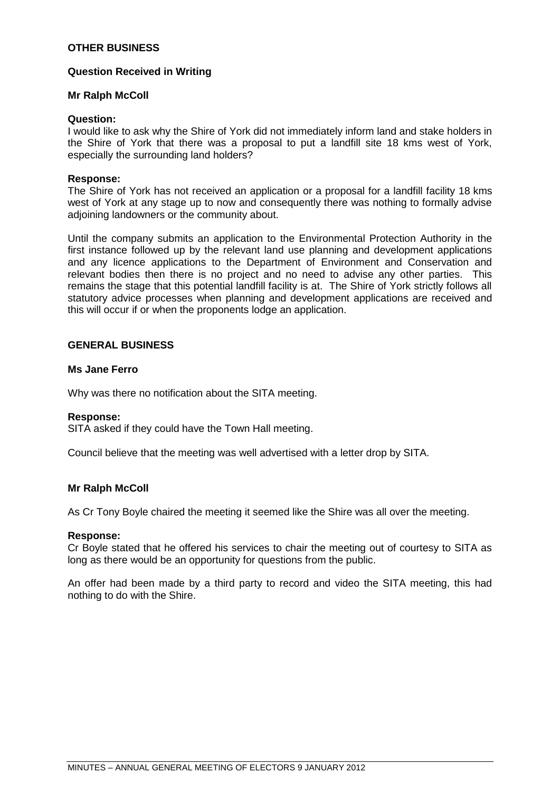# **OTHER BUSINESS**

### **Question Received in Writing**

### **Mr Ralph McColl**

#### **Question:**

I would like to ask why the Shire of York did not immediately inform land and stake holders in the Shire of York that there was a proposal to put a landfill site 18 kms west of York, especially the surrounding land holders?

### **Response:**

The Shire of York has not received an application or a proposal for a landfill facility 18 kms west of York at any stage up to now and consequently there was nothing to formally advise adjoining landowners or the community about.

Until the company submits an application to the Environmental Protection Authority in the first instance followed up by the relevant land use planning and development applications and any licence applications to the Department of Environment and Conservation and relevant bodies then there is no project and no need to advise any other parties. This remains the stage that this potential landfill facility is at. The Shire of York strictly follows all statutory advice processes when planning and development applications are received and this will occur if or when the proponents lodge an application.

# **GENERAL BUSINESS**

### **Ms Jane Ferro**

Why was there no notification about the SITA meeting.

### **Response:**

SITA asked if they could have the Town Hall meeting.

Council believe that the meeting was well advertised with a letter drop by SITA.

### **Mr Ralph McColl**

As Cr Tony Boyle chaired the meeting it seemed like the Shire was all over the meeting.

### **Response:**

Cr Boyle stated that he offered his services to chair the meeting out of courtesy to SITA as long as there would be an opportunity for questions from the public.

An offer had been made by a third party to record and video the SITA meeting, this had nothing to do with the Shire.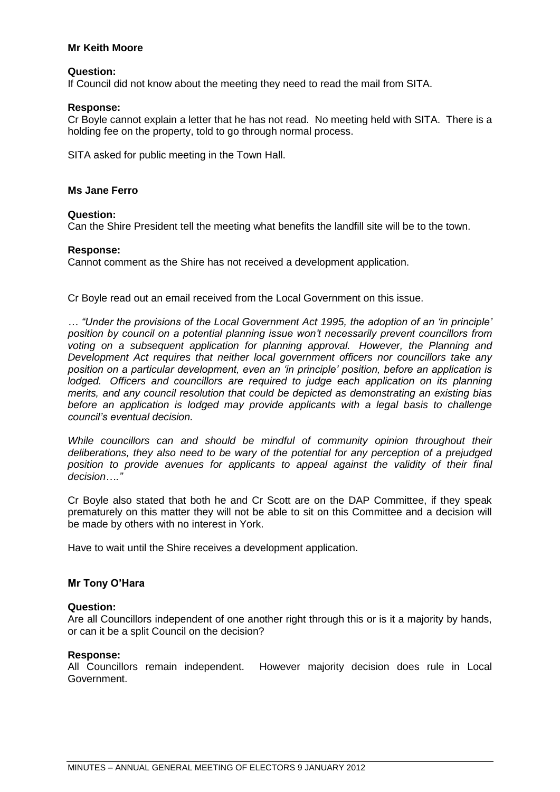# **Mr Keith Moore**

### **Question:**

If Council did not know about the meeting they need to read the mail from SITA.

### **Response:**

Cr Boyle cannot explain a letter that he has not read. No meeting held with SITA. There is a holding fee on the property, told to go through normal process.

SITA asked for public meeting in the Town Hall.

### **Ms Jane Ferro**

### **Question:**

Can the Shire President tell the meeting what benefits the landfill site will be to the town.

### **Response:**

Cannot comment as the Shire has not received a development application.

Cr Boyle read out an email received from the Local Government on this issue.

*… "Under the provisions of the Local Government Act 1995, the adoption of an "in principle" position by council on a potential planning issue won"t necessarily prevent councillors from voting on a subsequent application for planning approval. However, the Planning and Development Act requires that neither local government officers nor councillors take any position on a particular development, even an "in principle" position, before an application is*  lodged. Officers and councillors are required to judge each application on its planning *merits, and any council resolution that could be depicted as demonstrating an existing bias before an application is lodged may provide applicants with a legal basis to challenge council"s eventual decision.*

*While councillors can and should be mindful of community opinion throughout their deliberations, they also need to be wary of the potential for any perception of a prejudged position to provide avenues for applicants to appeal against the validity of their final decision…."*

Cr Boyle also stated that both he and Cr Scott are on the DAP Committee, if they speak prematurely on this matter they will not be able to sit on this Committee and a decision will be made by others with no interest in York.

Have to wait until the Shire receives a development application.

# **Mr Tony O'Hara**

### **Question:**

Are all Councillors independent of one another right through this or is it a majority by hands, or can it be a split Council on the decision?

# **Response:**

All Councillors remain independent. However majority decision does rule in Local Government.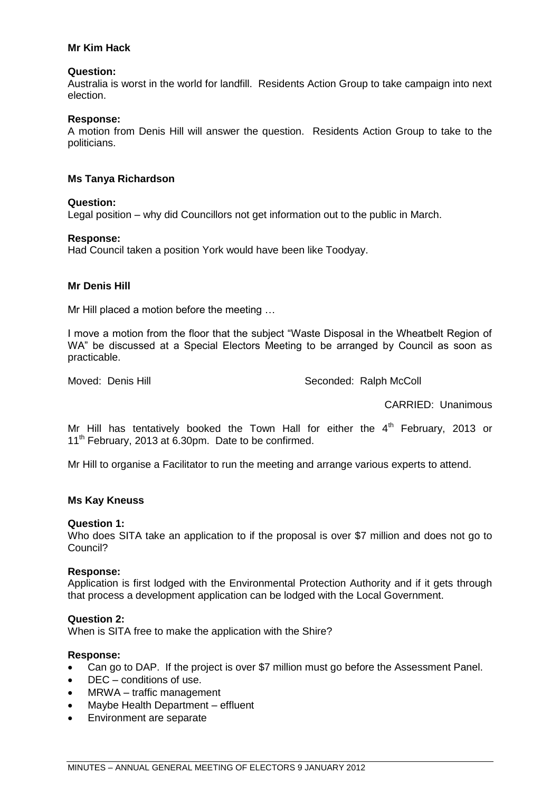# **Mr Kim Hack**

# **Question:**

Australia is worst in the world for landfill. Residents Action Group to take campaign into next election.

### **Response:**

A motion from Denis Hill will answer the question. Residents Action Group to take to the politicians.

### **Ms Tanya Richardson**

# **Question:**

Legal position – why did Councillors not get information out to the public in March.

### **Response:**

Had Council taken a position York would have been like Toodyay.

# **Mr Denis Hill**

Mr Hill placed a motion before the meeting …

I move a motion from the floor that the subject "Waste Disposal in the Wheatbelt Region of WA" be discussed at a Special Electors Meeting to be arranged by Council as soon as practicable.

Moved: Denis Hill Seconded: Ralph McColl

CARRIED: Unanimous

Mr Hill has tentatively booked the Town Hall for either the  $4<sup>th</sup>$  February, 2013 or  $11<sup>th</sup>$  February, 2013 at 6.30pm. Date to be confirmed.

Mr Hill to organise a Facilitator to run the meeting and arrange various experts to attend.

### **Ms Kay Kneuss**

### **Question 1:**

Who does SITA take an application to if the proposal is over \$7 million and does not go to Council?

### **Response:**

Application is first lodged with the Environmental Protection Authority and if it gets through that process a development application can be lodged with the Local Government.

### **Question 2:**

When is SITA free to make the application with the Shire?

# **Response:**

- Can go to DAP. If the project is over \$7 million must go before the Assessment Panel.
- DEC conditions of use.
- MRWA traffic management
- Maybe Health Department effluent
- Environment are separate